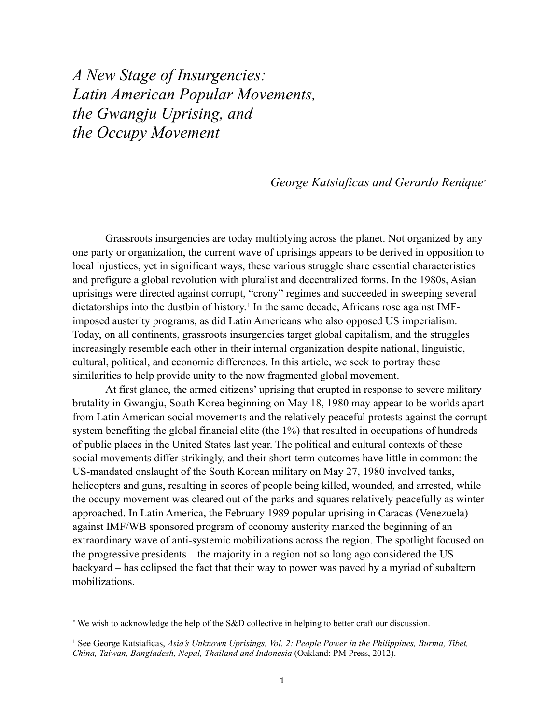# *A New Stage of Insurgencies: Latin American Popular Movements, the Gwangju Uprising, and the Occupy Movement*

# *George Katsiaficas and Gerardo Renique*[∗](#page-0-0)

Grassroots insurgencies are today multiplying across the planet. Not organized by any one party or organization, the current wave of uprisings appears to be derived in opposition to local injustices, yet in significant ways, these various struggle share essential characteristics and prefigure a global revolution with pluralist and decentralized forms. In the 1980s, Asian uprisings were directed against corrupt, "crony" regimes and succeeded in sweeping several dictatorships into the dustbin of history.<sup>[1](#page-0-1)</sup> In the same decade, Africans rose against IMFimposed austerity programs, as did Latin Americans who also opposed US imperialism. Today, on all continents, grassroots insurgencies target global capitalism, and the struggles increasingly resemble each other in their internal organization despite national, linguistic, cultural, political, and economic differences. In this article, we seek to portray these similarities to help provide unity to the now fragmented global movement.

At first glance, the armed citizens' uprising that erupted in response to severe military brutality in Gwangju, South Korea beginning on May 18, 1980 may appear to be worlds apart from Latin American social movements and the relatively peaceful protests against the corrupt system benefiting the global financial elite (the 1%) that resulted in occupations of hundreds of public places in the United States last year. The political and cultural contexts of these social movements differ strikingly, and their short-term outcomes have little in common: the US-mandated onslaught of the South Korean military on May 27, 1980 involved tanks, helicopters and guns, resulting in scores of people being killed, wounded, and arrested, while the occupy movement was cleared out of the parks and squares relatively peacefully as winter approached. In Latin America, the February 1989 popular uprising in Caracas (Venezuela) against IMF/WB sponsored program of economy austerity marked the beginning of an extraordinary wave of anti-systemic mobilizations across the region. The spotlight focused on the progressive presidents – the majority in a region not so long ago considered the US backyard – has eclipsed the fact that their way to power was paved by a myriad of subaltern mobilizations.

<span id="page-0-0"></span><sup>∗</sup> We wish to acknowledge the help of the S&D collective in helping to better craft our discussion.

<span id="page-0-1"></span><sup>&</sup>lt;sup>1</sup> See George Katsiaficas, *Asia's Unknown Uprisings, Vol. 2: People Power in the Philippines, Burma, Tibet, China, Taiwan, Bangladesh, Nepal, Thailand and Indonesia* (Oakland: PM Press, 2012).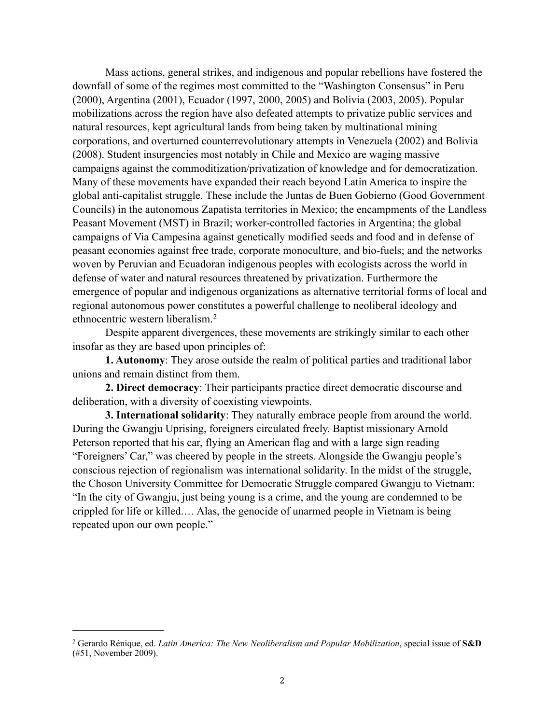Mass actions, general strikes, and indigenous and popular rebellions have fostered the downfall of some of the regimes most committed to the "Washington Consensus" in Peru (2000), Argentina (2001), Ecuador (1997, 2000, 2005) and Bolivia (2003, 2005). Popular mobilizations across the region have also defeated attempts to privatize public services and natural resources, kept agricultural lands from being taken by multinational mining corporations, and overturned counterrevolutionary attempts in Venezuela (2002) and Bolivia (2008). Student insurgencies most notably in Chile and Mexico are waging massive campaigns against the commoditization/privatization of knowledge and for democratization. Many of these movements have expanded their reach beyond Latin America to inspire the global anti-capitalist struggle. These include the Juntas de Buen Gobierno (Good Government Councils) in the autonomous Zapatista territories in Mexico; the encampments of the Landless Peasant Movement (MST) in Brazil; worker-controlled factories in Argentina; the global campaigns of Via Campesina against genetically modified seeds and food and in defense of peasant economies against free trade, corporate monoculture, and bio-fuels; and the networks woven by Peruvian and Ecuadoran indigenous peoples with ecologists across the world in defense of water and natural resources threatened by privatization. Furthermore the emergence of popular and indigenous organizations as alternative territorial forms of local and regional autonomous power constitutes a powerful challenge to neoliberal ideology and ethnocentric western liberalism.[2](#page-1-0)

Despite apparent divergences, these movements are strikingly similar to each other insofar as they are based upon principles of:

**1. Autonomy**: They arose outside the realm of political parties and traditional labor unions and remain distinct from them.

**2. Direct democracy**: Their participants practice direct democratic discourse and deliberation, with a diversity of coexisting viewpoints.

**3. International solidarity**: They naturally embrace people from around the world. During the Gwangju Uprising, foreigners circulated freely. Baptist missionary Arnold Peterson reported that his car, flying an American flag and with a large sign reading "Foreigners' Car," was cheered by people in the streets. Alongside the Gwangju people's conscious rejection of regionalism was international solidarity. In the midst of the struggle, the Choson University Committee for Democratic Struggle compared Gwangju to Vietnam: "In the city of Gwangju, just being young is a crime, and the young are condemned to be crippled for life or killed.… Alas, the genocide of unarmed people in Vietnam is being repeated upon our own people."

<span id="page-1-0"></span><sup>2</sup> Gerardo Rénique, ed. *Latin America: The New Neoliberalism and Popular Mobilization*, special issue of **S&D** (#51, November 2009).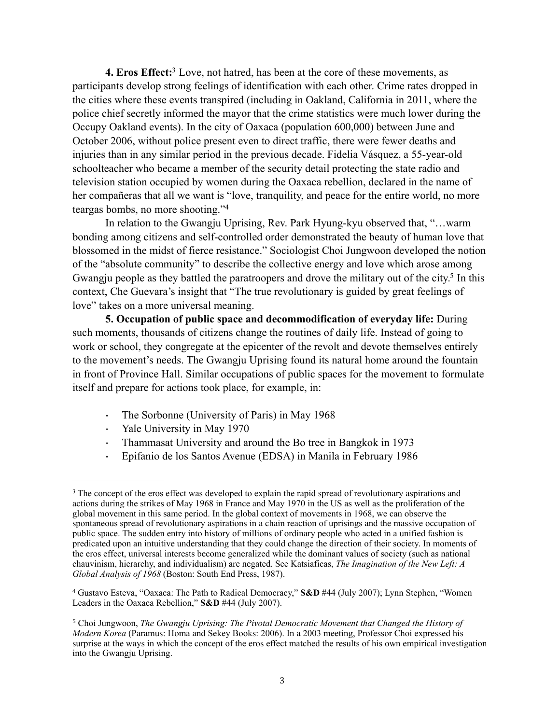**4. Eros Effect:**[3](#page-2-0) Love, not hatred, has been at the core of these movements, as participants develop strong feelings of identification with each other. Crime rates dropped in the cities where these events transpired (including in Oakland, California in 2011, where the police chief secretly informed the mayor that the crime statistics were much lower during the Occupy Oakland events). In the city of Oaxaca (population 600,000) between June and October 2006, without police present even to direct traffic, there were fewer deaths and injuries than in any similar period in the previous decade. Fidelia Vásquez, a 55-year-old schoolteacher who became a member of the security detail protecting the state radio and television station occupied by women during the Oaxaca rebellion, declared in the name of her compañeras that all we want is "love, tranquility, and peace for the entire world, no more teargas bombs, no more shooting.["4](#page-2-1)

In relation to the Gwangju Uprising, Rev. Park Hyung-kyu observed that, "…warm bonding among citizens and self-controlled order demonstrated the beauty of human love that blossomed in the midst of fierce resistance." Sociologist Choi Jungwoon developed the notion of the "absolute community" to describe the collective energy and love which arose among Gwangju people as they battled the paratroopers and drove the military out of the city.<sup>5</sup> In this context, Che Guevara's insight that "The true revolutionary is guided by great feelings of love" takes on a more universal meaning.

**5. Occupation of public space and decommodification of everyday life:** During such moments, thousands of citizens change the routines of daily life. Instead of going to work or school, they congregate at the epicenter of the revolt and devote themselves entirely to the movement's needs. The Gwangju Uprising found its natural home around the fountain in front of Province Hall. Similar occupations of public spaces for the movement to formulate itself and prepare for actions took place, for example, in:

- The Sorbonne (University of Paris) in May 1968
- Yale University in May 1970
- · Thammasat University and around the Bo tree in Bangkok in 1973
- · Epifanio de los Santos Avenue (EDSA) in Manila in February 1986

<span id="page-2-0"></span><sup>&</sup>lt;sup>3</sup> The concept of the eros effect was developed to explain the rapid spread of revolutionary aspirations and actions during the strikes of May 1968 in France and May 1970 in the US as well as the proliferation of the global movement in this same period. In the global context of movements in 1968, we can observe the spontaneous spread of revolutionary aspirations in a chain reaction of uprisings and the massive occupation of public space. The sudden entry into history of millions of ordinary people who acted in a unified fashion is predicated upon an intuitive understanding that they could change the direction of their society. In moments of the eros effect, universal interests become generalized while the dominant values of society (such as national chauvinism, hierarchy, and individualism) are negated. See Katsiaficas, *The Imagination of the New Left: A Global Analysis of 1968* (Boston: South End Press, 1987).

<span id="page-2-1"></span><sup>4</sup> Gustavo Esteva, "Oaxaca: The Path to Radical Democracy," **S&D** #44 (July 2007); Lynn Stephen, "Women Leaders in the Oaxaca Rebellion," **S&D** #44 (July 2007).

<span id="page-2-2"></span><sup>5</sup> Choi Jungwoon, *The Gwangju Uprising: The Pivotal Democratic Movement that Changed the History of Modern Korea* (Paramus: Homa and Sekey Books: 2006). In a 2003 meeting, Professor Choi expressed his surprise at the ways in which the concept of the eros effect matched the results of his own empirical investigation into the Gwangju Uprising.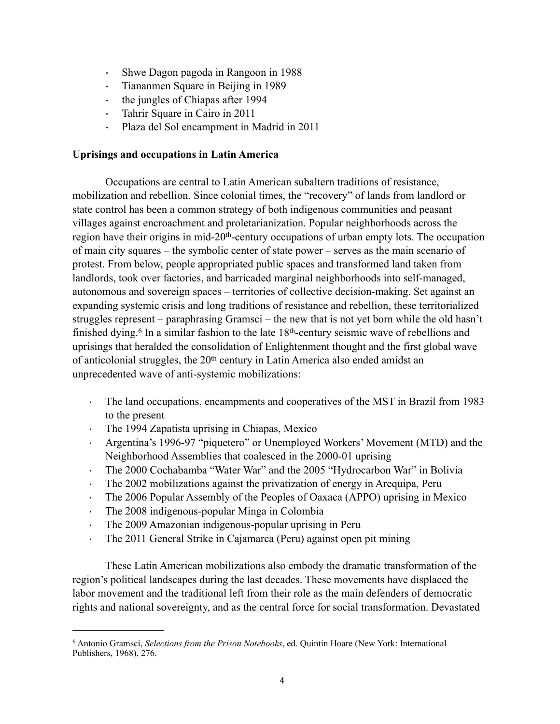- · Shwe Dagon pagoda in Rangoon in 1988
- · Tiananmen Square in Beijing in 1989
- · the jungles of Chiapas after 1994
- · Tahrir Square in Cairo in 2011
- · Plaza del Sol encampment in Madrid in 2011

## **Uprisings and occupations in Latin America**

Occupations are central to Latin American subaltern traditions of resistance, mobilization and rebellion. Since colonial times, the "recovery" of lands from landlord or state control has been a common strategy of both indigenous communities and peasant villages against encroachment and proletarianization. Popular neighborhoods across the region have their origins in mid-20<sup>th</sup>-century occupations of urban empty lots. The occupation of main city squares – the symbolic center of state power – serves as the main scenario of protest. From below, people appropriated public spaces and transformed land taken from landlords, took over factories, and barricaded marginal neighborhoods into self-managed, autonomous and sovereign spaces – territories of collective decision-making. Set against an expanding systemic crisis and long traditions of resistance and rebellion, these territorialized struggles represent – paraphrasing Gramsci – the new that is not yet born while the old hasn't finished dying.<sup>6</sup> In a similar fashion to the late  $18<sup>th</sup>$ -century seismic wave of rebellions and uprisings that heralded the consolidation of Enlightenment thought and the first global wave of anticolonial struggles, the 20th century in Latin America also ended amidst an unprecedented wave of anti-systemic mobilizations:

- · The land occupations, encampments and cooperatives of the MST in Brazil from 1983 to the present
- The 1994 Zapatista uprising in Chiapas, Mexico
- Argentina's 1996-97 "piquetero" or Unemployed Workers' Movement (MTD) and the Neighborhood Assemblies that coalesced in the 2000-01 uprising
- · The 2000 Cochabamba "Water War" and the 2005 "Hydrocarbon War" in Bolivia
- The 2002 mobilizations against the privatization of energy in Arequipa, Peru
- · The 2006 Popular Assembly of the Peoples of Oaxaca (APPO) uprising in Mexico
- The 2008 indigenous-popular Minga in Colombia
- The 2009 Amazonian indigenous-popular uprising in Peru
- · The 2011 General Strike in Cajamarca (Peru) against open pit mining

These Latin American mobilizations also embody the dramatic transformation of the region's political landscapes during the last decades. These movements have displaced the labor movement and the traditional left from their role as the main defenders of democratic rights and national sovereignty, and as the central force for social transformation. Devastated

<span id="page-3-0"></span><sup>6</sup> Antonio Gramsci, *Selections from the Prison Notebooks*, ed. Quintin Hoare (New York: International Publishers, 1968), 276.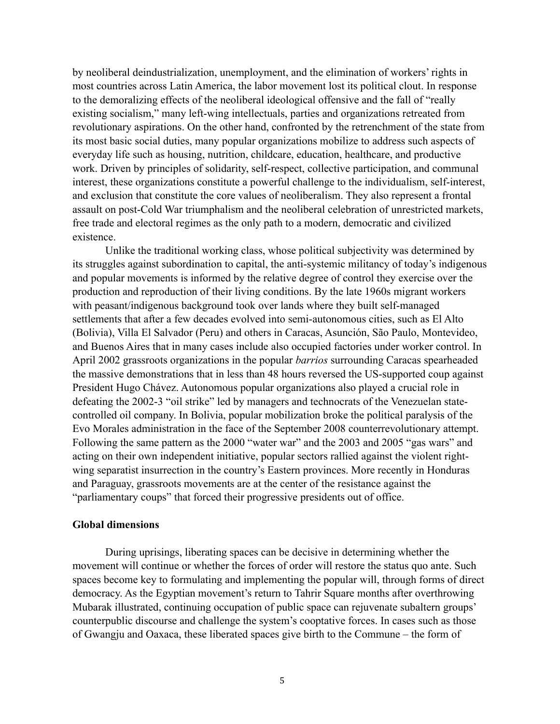by neoliberal deindustrialization, unemployment, and the elimination of workers' rights in most countries across Latin America, the labor movement lost its political clout. In response to the demoralizing effects of the neoliberal ideological offensive and the fall of "really existing socialism," many left-wing intellectuals, parties and organizations retreated from revolutionary aspirations. On the other hand, confronted by the retrenchment of the state from its most basic social duties, many popular organizations mobilize to address such aspects of everyday life such as housing, nutrition, childcare, education, healthcare, and productive work. Driven by principles of solidarity, self-respect, collective participation, and communal interest, these organizations constitute a powerful challenge to the individualism, self-interest, and exclusion that constitute the core values of neoliberalism. They also represent a frontal assault on post-Cold War triumphalism and the neoliberal celebration of unrestricted markets, free trade and electoral regimes as the only path to a modern, democratic and civilized existence.

Unlike the traditional working class, whose political subjectivity was determined by its struggles against subordination to capital, the anti-systemic militancy of today's indigenous and popular movements is informed by the relative degree of control they exercise over the production and reproduction of their living conditions. By the late 1960s migrant workers with peasant/indigenous background took over lands where they built self-managed settlements that after a few decades evolved into semi-autonomous cities, such as El Alto (Bolivia), Villa El Salvador (Peru) and others in Caracas, Asunción, São Paulo, Montevideo, and Buenos Aires that in many cases include also occupied factories under worker control. In April 2002 grassroots organizations in the popular *barrios* surrounding Caracas spearheaded the massive demonstrations that in less than 48 hours reversed the US-supported coup against President Hugo Chávez. Autonomous popular organizations also played a crucial role in defeating the 2002-3 "oil strike" led by managers and technocrats of the Venezuelan statecontrolled oil company. In Bolivia, popular mobilization broke the political paralysis of the Evo Morales administration in the face of the September 2008 counterrevolutionary attempt. Following the same pattern as the 2000 "water war" and the 2003 and 2005 "gas wars" and acting on their own independent initiative, popular sectors rallied against the violent rightwing separatist insurrection in the country's Eastern provinces. More recently in Honduras and Paraguay, grassroots movements are at the center of the resistance against the "parliamentary coups" that forced their progressive presidents out of office.

## **Global dimensions**

During uprisings, liberating spaces can be decisive in determining whether the movement will continue or whether the forces of order will restore the status quo ante. Such spaces become key to formulating and implementing the popular will, through forms of direct democracy. As the Egyptian movement's return to Tahrir Square months after overthrowing Mubarak illustrated, continuing occupation of public space can rejuvenate subaltern groups' counterpublic discourse and challenge the system's cooptative forces. In cases such as those of Gwangju and Oaxaca, these liberated spaces give birth to the Commune – the form of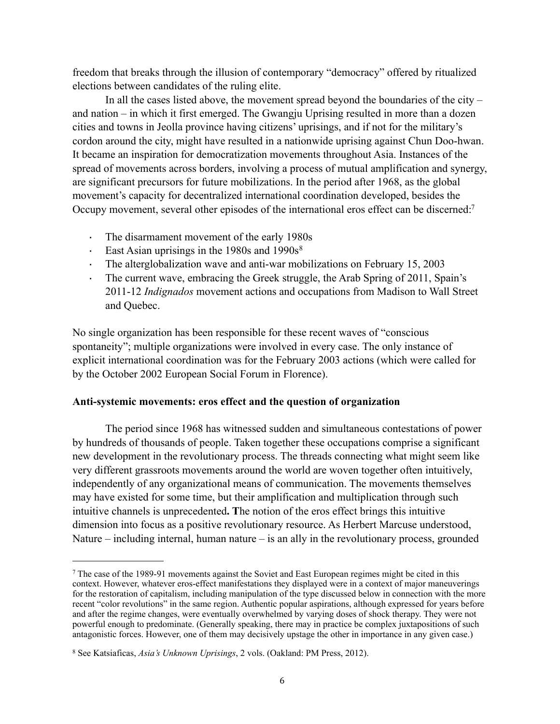freedom that breaks through the illusion of contemporary "democracy" offered by ritualized elections between candidates of the ruling elite.

In all the cases listed above, the movement spread beyond the boundaries of the city  $$ and nation – in which it first emerged. The Gwangju Uprising resulted in more than a dozen cities and towns in Jeolla province having citizens' uprisings, and if not for the military's cordon around the city, might have resulted in a nationwide uprising against Chun Doo-hwan. It became an inspiration for democratization movements throughout Asia. Instances of the spread of movements across borders, involving a process of mutual amplification and synergy, are significant precursors for future mobilizations. In the period after 1968, as the global movement's capacity for decentralized international coordination developed, besides the Occupy movement, several other episodes of the international eros effect can be discerned[:7](#page-5-0)

- The disarmament movement of the early 1980s
- East Asian uprisings in the 19[8](#page-5-1)0s and  $1990s<sup>8</sup>$
- The alterglobalization wave and anti-war mobilizations on February 15, 2003
- The current wave, embracing the Greek struggle, the Arab Spring of 2011, Spain's 2011-12 *Indignados* movement actions and occupations from Madison to Wall Street and Quebec.

No single organization has been responsible for these recent waves of "conscious spontaneity"; multiple organizations were involved in every case. The only instance of explicit international coordination was for the February 2003 actions (which were called for by the October 2002 European Social Forum in Florence).

## **Anti-systemic movements: eros effect and the question of organization**

The period since 1968 has witnessed sudden and simultaneous contestations of power by hundreds of thousands of people. Taken together these occupations comprise a significant new development in the revolutionary process. The threads connecting what might seem like very different grassroots movements around the world are woven together often intuitively, independently of any organizational means of communication. The movements themselves may have existed for some time, but their amplification and multiplication through such intuitive channels is unprecedented**. T**he notion of the eros effect brings this intuitive dimension into focus as a positive revolutionary resource. As Herbert Marcuse understood, Nature – including internal, human nature – is an ally in the revolutionary process, grounded

<span id="page-5-0"></span><sup>7</sup> The case of the 1989-91 movements against the Soviet and East European regimes might be cited in this context. However, whatever eros-effect manifestations they displayed were in a context of major maneuverings for the restoration of capitalism, including manipulation of the type discussed below in connection with the more recent "color revolutions" in the same region. Authentic popular aspirations, although expressed for years before and after the regime changes, were eventually overwhelmed by varying doses of shock therapy. They were not powerful enough to predominate. (Generally speaking, there may in practice be complex juxtapositions of such antagonistic forces. However, one of them may decisively upstage the other in importance in any given case.)

<span id="page-5-1"></span><sup>8</sup> See Katsiaficas, *Asia's Unknown Uprisings*, 2 vols. (Oakland: PM Press, 2012).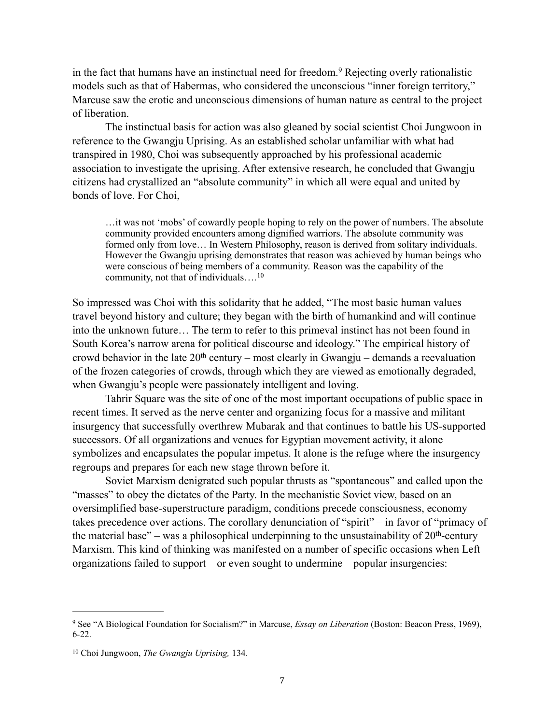in the fact that humans have an instinctual need for freedom[.9](#page-6-0) Rejecting overly rationalistic models such as that of Habermas, who considered the unconscious "inner foreign territory," Marcuse saw the erotic and unconscious dimensions of human nature as central to the project of liberation.

The instinctual basis for action was also gleaned by social scientist Choi Jungwoon in reference to the Gwangju Uprising. As an established scholar unfamiliar with what had transpired in 1980, Choi was subsequently approached by his professional academic association to investigate the uprising. After extensive research, he concluded that Gwangju citizens had crystallized an "absolute community" in which all were equal and united by bonds of love. For Choi,

…it was not 'mobs' of cowardly people hoping to rely on the power of numbers. The absolute community provided encounters among dignified warriors. The absolute community was formed only from love... In Western Philosophy, reason is derived from solitary individuals. However the Gwangju uprising demonstrates that reason was achieved by human beings who were conscious of being members of a community. Reason was the capability of the community, not that of individuals….[10](#page-6-1)

So impressed was Choi with this solidarity that he added, "The most basic human values travel beyond history and culture; they began with the birth of humankind and will continue into the unknown future… The term to refer to this primeval instinct has not been found in South Korea's narrow arena for political discourse and ideology." The empirical history of crowd behavior in the late  $20<sup>th</sup>$  century – most clearly in Gwangju – demands a reevaluation of the frozen categories of crowds, through which they are viewed as emotionally degraded, when Gwangju's people were passionately intelligent and loving.

Tahrir Square was the site of one of the most important occupations of public space in recent times. It served as the nerve center and organizing focus for a massive and militant insurgency that successfully overthrew Mubarak and that continues to battle his US-supported successors. Of all organizations and venues for Egyptian movement activity, it alone symbolizes and encapsulates the popular impetus. It alone is the refuge where the insurgency regroups and prepares for each new stage thrown before it.

Soviet Marxism denigrated such popular thrusts as "spontaneous" and called upon the "masses" to obey the dictates of the Party. In the mechanistic Soviet view, based on an oversimplified base-superstructure paradigm, conditions precede consciousness, economy takes precedence over actions. The corollary denunciation of "spirit" – in favor of "primacy of the material base" – was a philosophical underpinning to the unsustainability of  $20<sup>th</sup>$ -century Marxism. This kind of thinking was manifested on a number of specific occasions when Left organizations failed to support – or even sought to undermine – popular insurgencies:

<span id="page-6-0"></span><sup>9</sup> See "A Biological Foundation for Socialism?" in Marcuse, *Essay on Liberation* (Boston: Beacon Press, 1969), 6-22.

<span id="page-6-1"></span><sup>10</sup> Choi Jungwoon, *The Gwangju Uprising,* 134.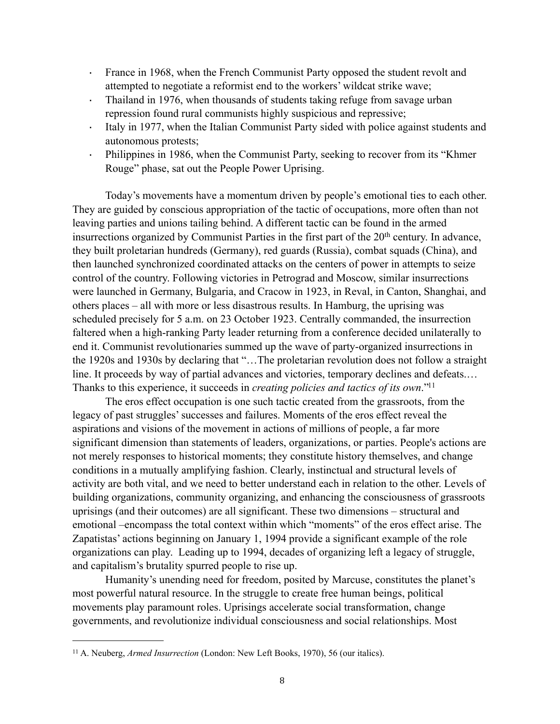- France in 1968, when the French Communist Party opposed the student revolt and attempted to negotiate a reformist end to the workers' wildcat strike wave;
- Thailand in 1976, when thousands of students taking refuge from savage urban repression found rural communists highly suspicious and repressive;
- Italy in 1977, when the Italian Communist Party sided with police against students and autonomous protests;
- Philippines in 1986, when the Communist Party, seeking to recover from its "Khmer" Rouge" phase, sat out the People Power Uprising.

Today's movements have a momentum driven by people's emotional ties to each other. They are guided by conscious appropriation of the tactic of occupations, more often than not leaving parties and unions tailing behind. A different tactic can be found in the armed insurrections organized by Communist Parties in the first part of the 20<sup>th</sup> century. In advance, they built proletarian hundreds (Germany), red guards (Russia), combat squads (China), and then launched synchronized coordinated attacks on the centers of power in attempts to seize control of the country. Following victories in Petrograd and Moscow, similar insurrections were launched in Germany, Bulgaria, and Cracow in 1923, in Reval, in Canton, Shanghai, and others places – all with more or less disastrous results. In Hamburg, the uprising was scheduled precisely for 5 a.m. on 23 October 1923. Centrally commanded, the insurrection faltered when a high-ranking Party leader returning from a conference decided unilaterally to end it. Communist revolutionaries summed up the wave of party-organized insurrections in the 1920s and 1930s by declaring that "…The proletarian revolution does not follow a straight line. It proceeds by way of partial advances and victories, temporary declines and defeats.… Thanks to this experience, it succeeds in *creating policies and tactics of its own*.["11](#page-7-0)

The eros effect occupation is one such tactic created from the grassroots, from the legacy of past struggles' successes and failures. Moments of the eros effect reveal the aspirations and visions of the movement in actions of millions of people, a far more significant dimension than statements of leaders, organizations, or parties. People's actions are not merely responses to historical moments; they constitute history themselves, and change conditions in a mutually amplifying fashion. Clearly, instinctual and structural levels of activity are both vital, and we need to better understand each in relation to the other. Levels of building organizations, community organizing, and enhancing the consciousness of grassroots uprisings (and their outcomes) are all significant. These two dimensions – structural and emotional –encompass the total context within which "moments" of the eros effect arise. The Zapatistas' actions beginning on January 1, 1994 provide a significant example of the role organizations can play. Leading up to 1994, decades of organizing left a legacy of struggle, and capitalism's brutality spurred people to rise up.

Humanity's unending need for freedom, posited by Marcuse, constitutes the planet's most powerful natural resource. In the struggle to create free human beings, political movements play paramount roles. Uprisings accelerate social transformation, change governments, and revolutionize individual consciousness and social relationships. Most

<span id="page-7-0"></span><sup>11</sup> A. Neuberg, *Armed Insurrection* (London: New Left Books, 1970), 56 (our italics).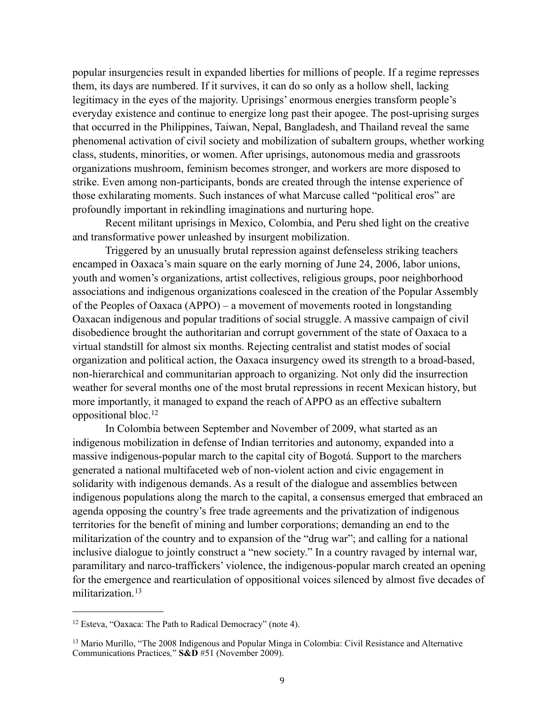popular insurgencies result in expanded liberties for millions of people. If a regime represses them, its days are numbered. If it survives, it can do so only as a hollow shell, lacking legitimacy in the eyes of the majority. Uprisings' enormous energies transform people's everyday existence and continue to energize long past their apogee. The post-uprising surges that occurred in the Philippines, Taiwan, Nepal, Bangladesh, and Thailand reveal the same phenomenal activation of civil society and mobilization of subaltern groups, whether working class, students, minorities, or women. After uprisings, autonomous media and grassroots organizations mushroom, feminism becomes stronger, and workers are more disposed to strike. Even among non-participants, bonds are created through the intense experience of those exhilarating moments. Such instances of what Marcuse called "political eros" are profoundly important in rekindling imaginations and nurturing hope.

 Recent militant uprisings in Mexico, Colombia, and Peru shed light on the creative and transformative power unleashed by insurgent mobilization.

 Triggered by an unusually brutal repression against defenseless striking teachers encamped in Oaxaca's main square on the early morning of June 24, 2006, labor unions, youth and women's organizations, artist collectives, religious groups, poor neighborhood associations and indigenous organizations coalesced in the creation of the Popular Assembly of the Peoples of Oaxaca (APPO) – a movement of movements rooted in longstanding Oaxacan indigenous and popular traditions of social struggle. A massive campaign of civil disobedience brought the authoritarian and corrupt government of the state of Oaxaca to a virtual standstill for almost six months. Rejecting centralist and statist modes of social organization and political action, the Oaxaca insurgency owed its strength to a broad-based, non-hierarchical and communitarian approach to organizing. Not only did the insurrection weather for several months one of the most brutal repressions in recent Mexican history, but more importantly, it managed to expand the reach of APPO as an effective subaltern oppositional bloc[.12](#page-8-0)

 In Colombia between September and November of 2009, what started as an indigenous mobilization in defense of Indian territories and autonomy, expanded into a massive indigenous-popular march to the capital city of Bogotá. Support to the marchers generated a national multifaceted web of non-violent action and civic engagement in solidarity with indigenous demands. As a result of the dialogue and assemblies between indigenous populations along the march to the capital, a consensus emerged that embraced an agenda opposing the country's free trade agreements and the privatization of indigenous territories for the benefit of mining and lumber corporations; demanding an end to the militarization of the country and to expansion of the "drug war"; and calling for a national inclusive dialogue to jointly construct a "new society." In a country ravaged by internal war, paramilitary and narco-traffickers' violence, the indigenous-popular march created an opening for the emergence and rearticulation of oppositional voices silenced by almost five decades of militarization.<sup>[13](#page-8-1)</sup>

<span id="page-8-0"></span><sup>12</sup> Esteva, "Oaxaca: The Path to Radical Democracy" (note 4).

<span id="page-8-1"></span><sup>13</sup> Mario Murillo, "The 2008 Indigenous and Popular Minga in Colombia: Civil Resistance and Alternative Communications Practices*,*" **S&D** #51 (November 2009).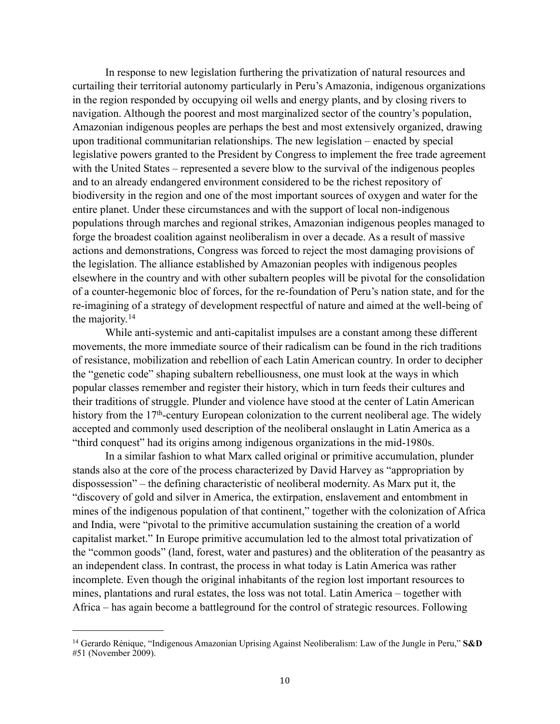In response to new legislation furthering the privatization of natural resources and curtailing their territorial autonomy particularly in Peru's Amazonia, indigenous organizations in the region responded by occupying oil wells and energy plants, and by closing rivers to navigation. Although the poorest and most marginalized sector of the country's population, Amazonian indigenous peoples are perhaps the best and most extensively organized, drawing upon traditional communitarian relationships. The new legislation – enacted by special legislative powers granted to the President by Congress to implement the free trade agreement with the United States – represented a severe blow to the survival of the indigenous peoples and to an already endangered environment considered to be the richest repository of biodiversity in the region and one of the most important sources of oxygen and water for the entire planet. Under these circumstances and with the support of local non-indigenous populations through marches and regional strikes, Amazonian indigenous peoples managed to forge the broadest coalition against neoliberalism in over a decade. As a result of massive actions and demonstrations, Congress was forced to reject the most damaging provisions of the legislation. The alliance established by Amazonian peoples with indigenous peoples elsewhere in the country and with other subaltern peoples will be pivotal for the consolidation of a counter-hegemonic bloc of forces, for the re-foundation of Peru's nation state, and for the re-imagining of a strategy of development respectful of nature and aimed at the well-being of the majority.[14](#page-9-0)

While anti-systemic and anti-capitalist impulses are a constant among these different movements, the more immediate source of their radicalism can be found in the rich traditions of resistance, mobilization and rebellion of each Latin American country. In order to decipher the "genetic code" shaping subaltern rebelliousness, one must look at the ways in which popular classes remember and register their history, which in turn feeds their cultures and their traditions of struggle. Plunder and violence have stood at the center of Latin American history from the 17<sup>th</sup>-century European colonization to the current neoliberal age. The widely accepted and commonly used description of the neoliberal onslaught in Latin America as a "third conquest" had its origins among indigenous organizations in the mid-1980s.

In a similar fashion to what Marx called original or primitive accumulation, plunder stands also at the core of the process characterized by David Harvey as "appropriation by dispossession" – the defining characteristic of neoliberal modernity. As Marx put it, the "discovery of gold and silver in America, the extirpation, enslavement and entombment in mines of the indigenous population of that continent," together with the colonization of Africa and India, were "pivotal to the primitive accumulation sustaining the creation of a world capitalist market." In Europe primitive accumulation led to the almost total privatization of the "common goods" (land, forest, water and pastures) and the obliteration of the peasantry as an independent class. In contrast, the process in what today is Latin America was rather incomplete. Even though the original inhabitants of the region lost important resources to mines, plantations and rural estates, the loss was not total. Latin America – together with Africa – has again become a battleground for the control of strategic resources. Following

<span id="page-9-0"></span><sup>14</sup> Gerardo Rénique, "Indigenous Amazonian Uprising Against Neoliberalism: Law of the Jungle in Peru," **S&D** #51 (November 2009).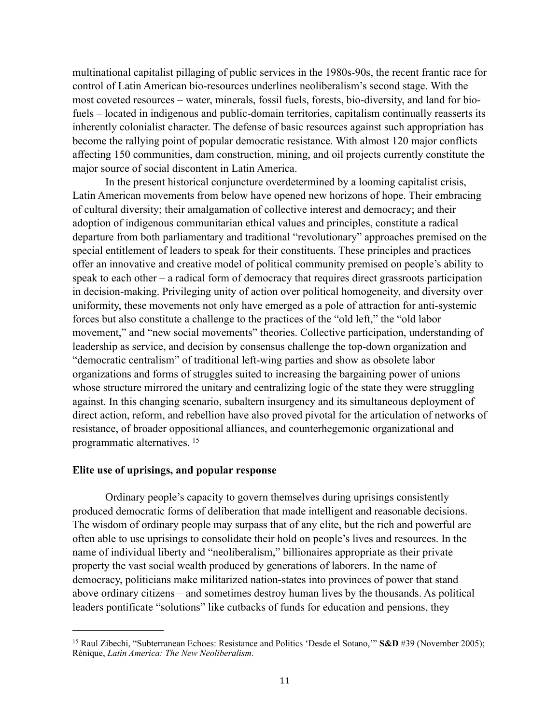multinational capitalist pillaging of public services in the 1980s-90s, the recent frantic race for control of Latin American bio-resources underlines neoliberalism's second stage. With the most coveted resources – water, minerals, fossil fuels, forests, bio-diversity, and land for biofuels – located in indigenous and public-domain territories, capitalism continually reasserts its inherently colonialist character. The defense of basic resources against such appropriation has become the rallying point of popular democratic resistance. With almost 120 major conflicts affecting 150 communities, dam construction, mining, and oil projects currently constitute the major source of social discontent in Latin America.

 In the present historical conjuncture overdetermined by a looming capitalist crisis, Latin American movements from below have opened new horizons of hope. Their embracing of cultural diversity; their amalgamation of collective interest and democracy; and their adoption of indigenous communitarian ethical values and principles, constitute a radical departure from both parliamentary and traditional "revolutionary" approaches premised on the special entitlement of leaders to speak for their constituents. These principles and practices offer an innovative and creative model of political community premised on people's ability to speak to each other – a radical form of democracy that requires direct grassroots participation in decision-making. Privileging unity of action over political homogeneity, and diversity over uniformity, these movements not only have emerged as a pole of attraction for anti-systemic forces but also constitute a challenge to the practices of the "old left," the "old labor movement," and "new social movements" theories. Collective participation, understanding of leadership as service, and decision by consensus challenge the top-down organization and "democratic centralism" of traditional left-wing parties and show as obsolete labor organizations and forms of struggles suited to increasing the bargaining power of unions whose structure mirrored the unitary and centralizing logic of the state they were struggling against. In this changing scenario, subaltern insurgency and its simultaneous deployment of direct action, reform, and rebellion have also proved pivotal for the articulation of networks of resistance, of broader oppositional alliances, and counterhegemonic organizational and programmatic alternatives. [15](#page-10-0)

### **Elite use of uprisings, and popular response**

Ordinary people's capacity to govern themselves during uprisings consistently produced democratic forms of deliberation that made intelligent and reasonable decisions. The wisdom of ordinary people may surpass that of any elite, but the rich and powerful are often able to use uprisings to consolidate their hold on people's lives and resources. In the name of individual liberty and "neoliberalism," billionaires appropriate as their private property the vast social wealth produced by generations of laborers. In the name of democracy, politicians make militarized nation-states into provinces of power that stand above ordinary citizens – and sometimes destroy human lives by the thousands. As political leaders pontificate "solutions" like cutbacks of funds for education and pensions, they

<span id="page-10-0"></span><sup>15</sup> Raul Zibechi, "Subterranean Echoes: Resistance and Politics 'Desde el Sotano,'" **S&D** #39 (November 2005); Rénique, *Latin America: The New Neoliberalism*.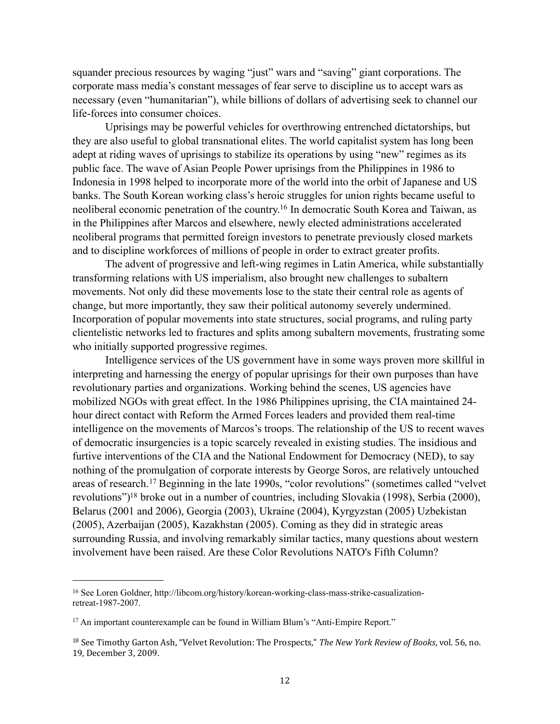squander precious resources by waging "just" wars and "saving" giant corporations. The corporate mass media's constant messages of fear serve to discipline us to accept wars as necessary (even "humanitarian"), while billions of dollars of advertising seek to channel our life-forces into consumer choices.

Uprisings may be powerful vehicles for overthrowing entrenched dictatorships, but they are also useful to global transnational elites. The world capitalist system has long been adept at riding waves of uprisings to stabilize its operations by using "new" regimes as its public face. The wave of Asian People Power uprisings from the Philippines in 1986 to Indonesia in 1998 helped to incorporate more of the world into the orbit of Japanese and US banks. The South Korean working class's heroic struggles for union rights became useful to neoliberal economic penetration of the country[.16](#page-11-0) In democratic South Korea and Taiwan, as in the Philippines after Marcos and elsewhere, newly elected administrations accelerated neoliberal programs that permitted foreign investors to penetrate previously closed markets and to discipline workforces of millions of people in order to extract greater profits.

The advent of progressive and left-wing regimes in Latin America, while substantially transforming relations with US imperialism, also brought new challenges to subaltern movements. Not only did these movements lose to the state their central role as agents of change, but more importantly, they saw their political autonomy severely undermined. Incorporation of popular movements into state structures, social programs, and ruling party clientelistic networks led to fractures and splits among subaltern movements, frustrating some who initially supported progressive regimes.

Intelligence services of the US government have in some ways proven more skillful in interpreting and harnessing the energy of popular uprisings for their own purposes than have revolutionary parties and organizations. Working behind the scenes, US agencies have mobilized NGOs with great effect. In the 1986 Philippines uprising, the CIA maintained 24 hour direct contact with Reform the Armed Forces leaders and provided them real-time intelligence on the movements of Marcos's troops. The relationship of the US to recent waves of democratic insurgencies is a topic scarcely revealed in existing studies. The insidious and furtive interventions of the CIA and the National Endowment for Democracy (NED), to say nothing of the promulgation of corporate interests by George Soros, are relatively untouched areas of research.[17](#page-11-1) Beginning in the late 1990s, "color revolutions" (sometimes called "velvet revolutions"[\)18](#page-11-2) broke out in a number of countries, including Slovakia (1998), Serbia (2000), Belarus (2001 and 2006), Georgia (2003), Ukraine (2004), Kyrgyzstan (2005) Uzbekistan (2005), Azerbaijan (2005), Kazakhstan (2005). Coming as they did in strategic areas surrounding Russia, and involving remarkably similar tactics, many questions about western involvement have been raised. Are these Color Revolutions NATO's Fifth Column?

<span id="page-11-0"></span><sup>16</sup> See Loren Goldner, http://libcom.org/history/korean-working-class-mass-strike-casualizationretreat-1987-2007.

<span id="page-11-1"></span><sup>17</sup> An important counterexample can be found in William Blum's "Anti-Empire Report."

<span id="page-11-2"></span><sup>&</sup>lt;sup>18</sup> See Timothy Garton Ash, "Velvet Revolution: The Prospects," *The New York Review of Books*, vol. 56, no. 19, December 3, 2009.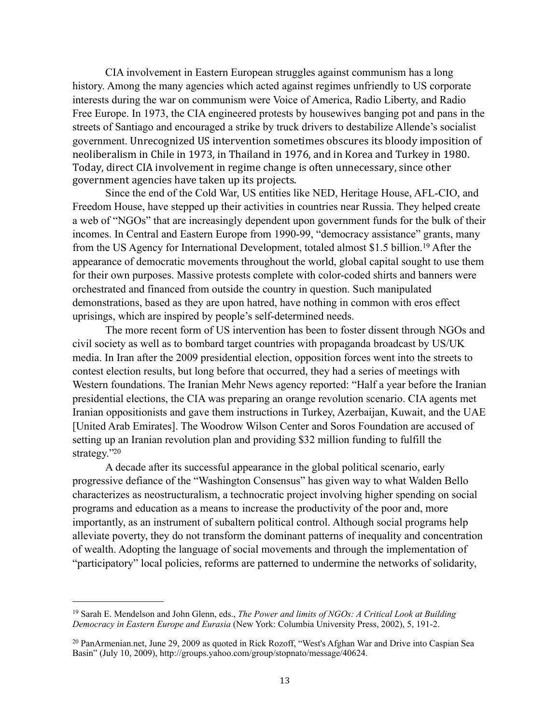CIA involvement in Eastern European struggles against communism has a long history. Among the many agencies which acted against regimes unfriendly to US corporate interests during the war on communism were Voice of America, Radio Liberty, and Radio Free Europe. In 1973, the CIA engineered protests by housewives banging pot and pans in the streets of Santiago and encouraged a strike by truck drivers to destabilize Allende's socialist government. Unrecognized US intervention sometimes obscures its bloody imposition of neoliberalism in Chile in 1973, in Thailand in 1976, and in Korea and Turkey in 1980. Today, direct CIA involvement in regime change is often unnecessary, since other government agencies have taken up its projects.

Since the end of the Cold War, US entities like NED, Heritage House, AFL-CIO, and Freedom House, have stepped up their activities in countries near Russia. They helped create a web of "NGOs" that are increasingly dependent upon government funds for the bulk of their incomes. In Central and Eastern Europe from 1990-99, "democracy assistance" grants, many from the US Agency for International Development, totaled almost \$1.5 billion[.19](#page-12-0) After the appearance of democratic movements throughout the world, global capital sought to use them for their own purposes. Massive protests complete with color-coded shirts and banners were orchestrated and financed from outside the country in question. Such manipulated demonstrations, based as they are upon hatred, have nothing in common with eros effect uprisings, which are inspired by people's self-determined needs.

The more recent form of US intervention has been to foster dissent through NGOs and civil society as well as to bombard target countries with propaganda broadcast by US/UK media. In Iran after the 2009 presidential election, opposition forces went into the streets to contest election results, but long before that occurred, they had a series of meetings with Western foundations. The Iranian Mehr News agency reported: "Half a year before the Iranian presidential elections, the CIA was preparing an orange revolution scenario. CIA agents met Iranian oppositionists and gave them instructions in Turkey, Azerbaijan, Kuwait, and the UAE [United Arab Emirates]. The Woodrow Wilson Center and Soros Foundation are accused of setting up an Iranian revolution plan and providing \$32 million funding to fulfill the strategy.["20](#page-12-1)

A decade after its successful appearance in the global political scenario, early progressive defiance of the "Washington Consensus" has given way to what Walden Bello characterizes as neostructuralism, a technocratic project involving higher spending on social programs and education as a means to increase the productivity of the poor and, more importantly, as an instrument of subaltern political control. Although social programs help alleviate poverty, they do not transform the dominant patterns of inequality and concentration of wealth. Adopting the language of social movements and through the implementation of "participatory" local policies, reforms are patterned to undermine the networks of solidarity,

<span id="page-12-0"></span><sup>19</sup> Sarah E. Mendelson and John Glenn, eds., *The Power and limits of NGOs: A Critical Look at Building Democracy in Eastern Europe and Eurasia* (New York: Columbia University Press, 2002), 5, 191-2.

<span id="page-12-1"></span><sup>20</sup> PanArmenian.net, June 29, 2009 as quoted in Rick Rozoff, "West's Afghan War and Drive into Caspian Sea Basin" (July 10, 2009), [http://groups.yahoo.com/group/stopnato/message/40624.](http://groups.yahoo.com/group/stopnato/message/40624)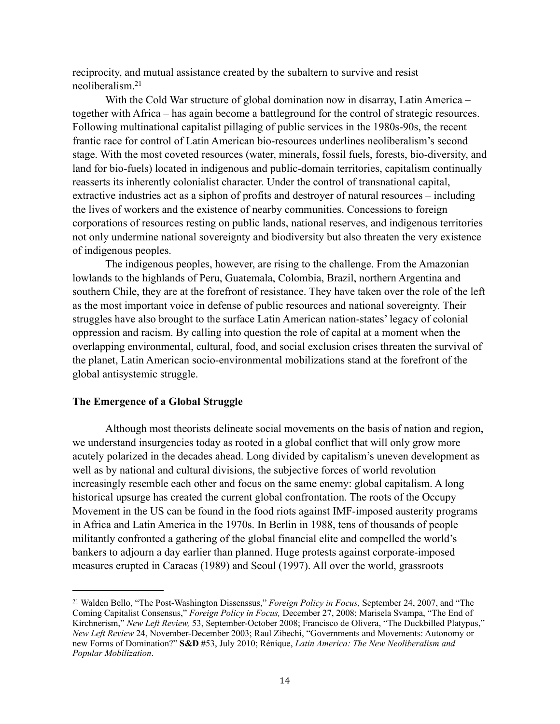reciprocity, and mutual assistance created by the subaltern to survive and resist neoliberalism[.21](#page-13-0)

With the Cold War structure of global domination now in disarray, Latin America – together with Africa – has again become a battleground for the control of strategic resources. Following multinational capitalist pillaging of public services in the 1980s-90s, the recent frantic race for control of Latin American bio-resources underlines neoliberalism's second stage. With the most coveted resources (water, minerals, fossil fuels, forests, bio-diversity, and land for bio-fuels) located in indigenous and public-domain territories, capitalism continually reasserts its inherently colonialist character. Under the control of transnational capital, extractive industries act as a siphon of profits and destroyer of natural resources – including the lives of workers and the existence of nearby communities. Concessions to foreign corporations of resources resting on public lands, national reserves, and indigenous territories not only undermine national sovereignty and biodiversity but also threaten the very existence of indigenous peoples.

The indigenous peoples, however, are rising to the challenge. From the Amazonian lowlands to the highlands of Peru, Guatemala, Colombia, Brazil, northern Argentina and southern Chile, they are at the forefront of resistance. They have taken over the role of the left as the most important voice in defense of public resources and national sovereignty. Their struggles have also brought to the surface Latin American nation-states' legacy of colonial oppression and racism. By calling into question the role of capital at a moment when the overlapping environmental, cultural, food, and social exclusion crises threaten the survival of the planet, Latin American socio-environmental mobilizations stand at the forefront of the global antisystemic struggle.

### **The Emergence of a Global Struggle**

Although most theorists delineate social movements on the basis of nation and region, we understand insurgencies today as rooted in a global conflict that will only grow more acutely polarized in the decades ahead. Long divided by capitalism's uneven development as well as by national and cultural divisions, the subjective forces of world revolution increasingly resemble each other and focus on the same enemy: global capitalism. A long historical upsurge has created the current global confrontation. The roots of the Occupy Movement in the US can be found in the food riots against IMF-imposed austerity programs in Africa and Latin America in the 1970s. In Berlin in 1988, tens of thousands of people militantly confronted a gathering of the global financial elite and compelled the world's bankers to adjourn a day earlier than planned. Huge protests against corporate-imposed measures erupted in Caracas (1989) and Seoul (1997). All over the world, grassroots

<span id="page-13-0"></span><sup>21</sup> Walden Bello, "The Post-Washington Dissenssus," *Foreign Policy in Focus,* September 24, 2007, and "The Coming Capitalist Consensus," *Foreign Policy in Focus,* December 27, 2008; Marisela Svampa, "The End of Kirchnerism," *New Left Review,* 53, September-October 2008; Francisco de Olivera, "The Duckbilled Platypus," *New Left Review* 24, November-December 2003; Raul Zibechi, "Governments and Movements: Autonomy or new Forms of Domination?" **S&D #**53, July 2010; Rénique, *Latin America: The New Neoliberalism and Popular Mobilization*.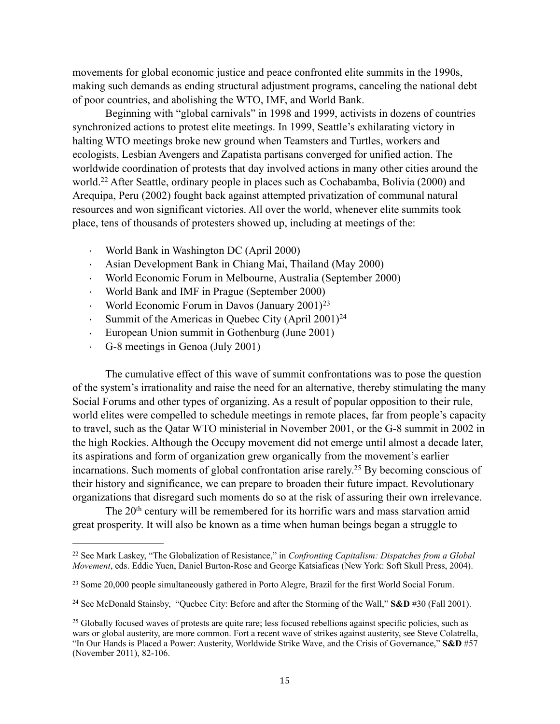movements for global economic justice and peace confronted elite summits in the 1990s, making such demands as ending structural adjustment programs, canceling the national debt of poor countries, and abolishing the WTO, IMF, and World Bank.

Beginning with "global carnivals" in 1998 and 1999, activists in dozens of countries synchronized actions to protest elite meetings. In 1999, Seattle's exhilarating victory in halting WTO meetings broke new ground when Teamsters and Turtles, workers and ecologists, Lesbian Avengers and Zapatista partisans converged for unified action. The worldwide coordination of protests that day involved actions in many other cities around the world[.22](#page-14-0) After Seattle, ordinary people in places such as Cochabamba, Bolivia (2000) and Arequipa, Peru (2002) fought back against attempted privatization of communal natural resources and won significant victories. All over the world, whenever elite summits took place, tens of thousands of protesters showed up, including at meetings of the:

- · World Bank in Washington DC (April 2000)
- · Asian Development Bank in Chiang Mai, Thailand (May 2000)
- · World Economic Forum in Melbourne, Australia (September 2000)
- · World Bank and IMF in Prague (September 2000)
- · World Economic Forum in Davos (January 2001)[23](#page-14-1)
- Summit of the Americas in Quebec City (April 2001)<sup>24</sup>
- · European Union summit in Gothenburg (June 2001)
- G-8 meetings in Genoa (July 2001)

The cumulative effect of this wave of summit confrontations was to pose the question of the system's irrationality and raise the need for an alternative, thereby stimulating the many Social Forums and other types of organizing. As a result of popular opposition to their rule, world elites were compelled to schedule meetings in remote places, far from people's capacity to travel, such as the Qatar WTO ministerial in November 2001, or the G-8 summit in 2002 in the high Rockies. Although the Occupy movement did not emerge until almost a decade later, its aspirations and form of organization grew organically from the movement's earlier incarnations. Such moments of global confrontation arise rarely[.25](#page-14-3) By becoming conscious of their history and significance, we can prepare to broaden their future impact. Revolutionary organizations that disregard such moments do so at the risk of assuring their own irrelevance.

The 20th century will be remembered for its horrific wars and mass starvation amid great prosperity. It will also be known as a time when human beings began a struggle to

<span id="page-14-0"></span><sup>22</sup> See Mark Laskey, "The Globalization of Resistance," in *Confronting Capitalism: Dispatches from a Global Movement*, eds. Eddie Yuen, Daniel Burton-Rose and George Katsiaficas (New York: Soft Skull Press, 2004).

<span id="page-14-1"></span><sup>&</sup>lt;sup>23</sup> Some 20,000 people simultaneously gathered in Porto Alegre, Brazil for the first World Social Forum.

<span id="page-14-2"></span><sup>24</sup> See McDonald Stainsby, "Quebec City: Before and after the Storming of the Wall," **S&D** #30 (Fall 2001).

<span id="page-14-3"></span><sup>&</sup>lt;sup>25</sup> Globally focused waves of protests are quite rare; less focused rebellions against specific policies, such as wars or global austerity, are more common. Fort a recent wave of strikes against austerity, see Steve Colatrella, "In Our Hands is Placed a Power: Austerity, Worldwide Strike Wave, and the Crisis of Governance," **S&D** #57 (November 2011), 82-106.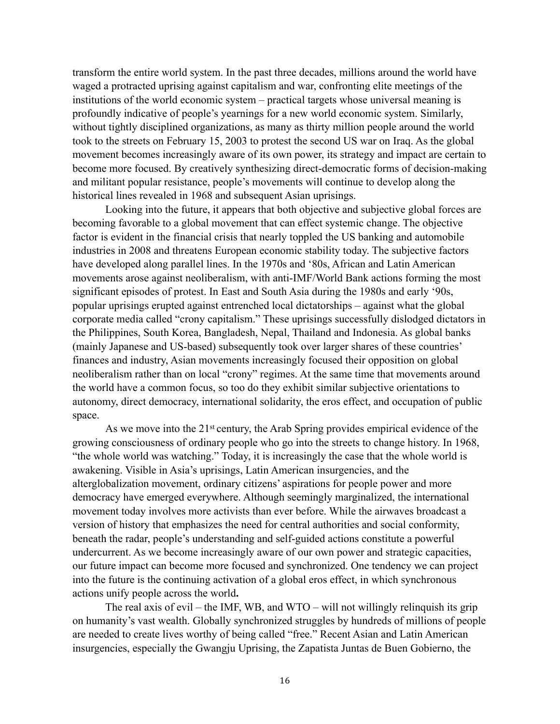transform the entire world system. In the past three decades, millions around the world have waged a protracted uprising against capitalism and war, confronting elite meetings of the institutions of the world economic system – practical targets whose universal meaning is profoundly indicative of people's yearnings for a new world economic system. Similarly, without tightly disciplined organizations, as many as thirty million people around the world took to the streets on February 15, 2003 to protest the second US war on Iraq. As the global movement becomes increasingly aware of its own power, its strategy and impact are certain to become more focused. By creatively synthesizing direct-democratic forms of decision-making and militant popular resistance, people's movements will continue to develop along the historical lines revealed in 1968 and subsequent Asian uprisings.

Looking into the future, it appears that both objective and subjective global forces are becoming favorable to a global movement that can effect systemic change. The objective factor is evident in the financial crisis that nearly toppled the US banking and automobile industries in 2008 and threatens European economic stability today. The subjective factors have developed along parallel lines. In the 1970s and '80s, African and Latin American movements arose against neoliberalism, with anti-IMF/World Bank actions forming the most significant episodes of protest. In East and South Asia during the 1980s and early '90s, popular uprisings erupted against entrenched local dictatorships – against what the global corporate media called "crony capitalism." These uprisings successfully dislodged dictators in the Philippines, South Korea, Bangladesh, Nepal, Thailand and Indonesia. As global banks (mainly Japanese and US-based) subsequently took over larger shares of these countries' finances and industry, Asian movements increasingly focused their opposition on global neoliberalism rather than on local "crony" regimes. At the same time that movements around the world have a common focus, so too do they exhibit similar subjective orientations to autonomy, direct democracy, international solidarity, the eros effect, and occupation of public space.

As we move into the 21<sup>st</sup> century, the Arab Spring provides empirical evidence of the growing consciousness of ordinary people who go into the streets to change history. In 1968, "the whole world was watching." Today, it is increasingly the case that the whole world is awakening. Visible in Asia's uprisings, Latin American insurgencies, and the alterglobalization movement, ordinary citizens' aspirations for people power and more democracy have emerged everywhere. Although seemingly marginalized, the international movement today involves more activists than ever before. While the airwaves broadcast a version of history that emphasizes the need for central authorities and social conformity, beneath the radar, people's understanding and self-guided actions constitute a powerful undercurrent. As we become increasingly aware of our own power and strategic capacities, our future impact can become more focused and synchronized. One tendency we can project into the future is the continuing activation of a global eros effect, in which synchronous actions unify people across the world**.**

The real axis of evil – the IMF, WB, and WTO – will not willingly relinquish its grip on humanity's vast wealth. Globally synchronized struggles by hundreds of millions of people are needed to create lives worthy of being called "free." Recent Asian and Latin American insurgencies, especially the Gwangju Uprising, the Zapatista Juntas de Buen Gobierno, the